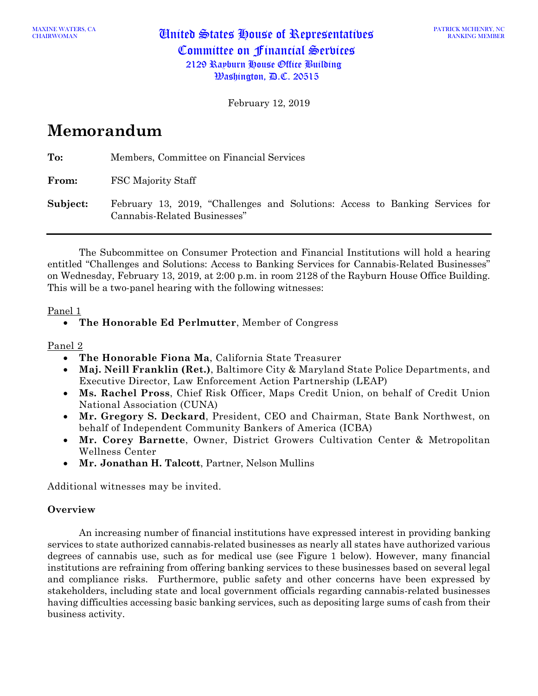MAXINE WATERS, CA **United States House of Representatives** Committee on Financial Services 2129 Rayburn House Office Building  $\mathcal{B}$ ashington,  $\mathcal{B}$ .C. 20515

February 12, 2019

# **Memorandum**

**To:** Members, Committee on Financial Services

**From:** FSC Majority Staff

**Subject:** February 13, 2019, "Challenges and Solutions: Access to Banking Services for Cannabis-Related Businesses"

The Subcommittee on Consumer Protection and Financial Institutions will hold a hearing entitled "Challenges and Solutions: Access to Banking Services for Cannabis-Related Businesses" on Wednesday, February 13, 2019, at 2:00 p.m. in room 2128 of the Rayburn House Office Building. This will be a two-panel hearing with the following witnesses:

## Panel 1

## Panel 2

- **The Honorable Fiona Ma**, California State Treasurer
- **Maj. Neill Franklin (Ret.)**, Baltimore City & Maryland State Police Departments, and Executive Director, Law Enforcement Action Partnership (LEAP)
- **Ms. Rachel Pross**, Chief Risk Officer, Maps Credit Union, on behalf of Credit Union National Association (CUNA)
- **Mr. Gregory S. Deckard**, President, CEO and Chairman, State Bank Northwest, on behalf of Independent Community Bankers of America (ICBA)
- **Mr. Corey Barnette**, Owner, District Growers Cultivation Center & Metropolitan Wellness Center
- **Mr. Jonathan H. Talcott**, Partner, Nelson Mullins

Additional witnesses may be invited.

#### **Overview**

An increasing number of financial institutions have expressed interest in providing banking services to state authorized cannabis-related businesses as nearly all states have authorized various degrees of cannabis use, such as for medical use (see Figure 1 below). However, many financial institutions are refraining from offering banking services to these businesses based on several legal and compliance risks. Furthermore, public safety and other concerns have been expressed by stakeholders, including state and local government officials regarding cannabis-related businesses having difficulties accessing basic banking services, such as depositing large sums of cash from their business activity.

<sup>•</sup> **The Honorable Ed Perlmutter**, Member of Congress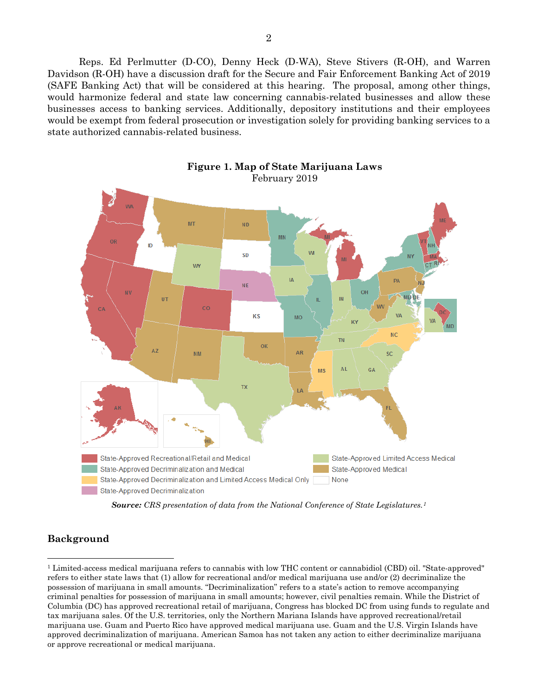Reps. Ed Perlmutter (D-CO), Denny Heck (D-WA), Steve Stivers (R-OH), and Warren Davidson (R-OH) have a discussion draft for the Secure and Fair Enforcement Banking Act of 2019 (SAFE Banking Act) that will be considered at this hearing. The proposal, among other things, would harmonize federal and state law concerning cannabis-related businesses and allow these businesses access to banking services. Additionally, depository institutions and their employees would be exempt from federal prosecution or investigation solely for providing banking services to a state authorized cannabis-related business.



**Figure 1. Map of State Marijuana Laws** February 2019

*Source: CRS presentation of data from the National Conference of State Legislatures.[1](#page-1-0)*

# **Background**

<span id="page-1-0"></span> <sup>1</sup> Limited-access medical marijuana refers to cannabis with low THC content or cannabidiol (CBD) oil. "State-approved" refers to either state laws that (1) allow for recreational and/or medical marijuana use and/or (2) decriminalize the possession of marijuana in small amounts. "Decriminalization" refers to a state's action to remove accompanying criminal penalties for possession of marijuana in small amounts; however, civil penalties remain. While the District of Columbia (DC) has approved recreational retail of marijuana, Congress has blocked DC from using funds to regulate and tax marijuana sales. Of the U.S. territories, only the Northern Mariana Islands have approved recreational/retail marijuana use. Guam and Puerto Rico have approved medical marijuana use. Guam and the U.S. Virgin Islands have approved decriminalization of marijuana. American Samoa has not taken any action to either decriminalize marijuana or approve recreational or medical marijuana.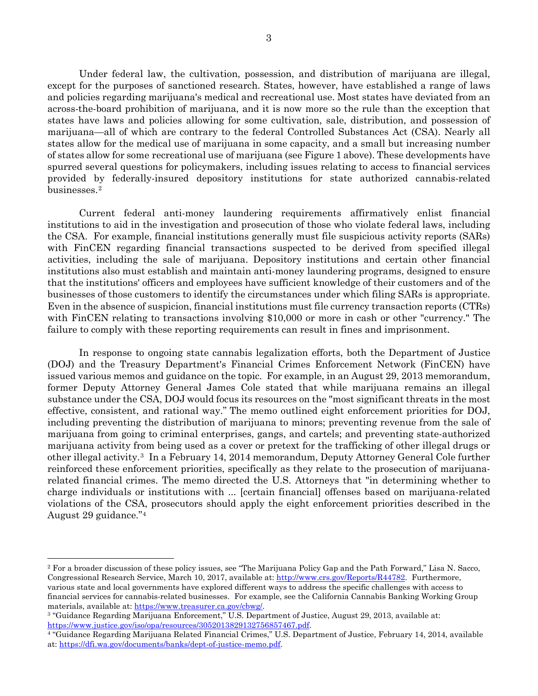Under federal law, the cultivation, possession, and distribution of marijuana are illegal, except for the purposes of sanctioned research. States, however, have established a range of laws and policies regarding marijuana's medical and recreational use. Most states have deviated from an across-the-board prohibition of marijuana, and it is now more so the rule than the exception that states have laws and policies allowing for some cultivation, sale, distribution, and possession of marijuana—all of which are contrary to the federal Controlled Substances Act (CSA). Nearly all states allow for the medical use of marijuana in some capacity, and a small but increasing number of states allow for some recreational use of marijuana (see Figure 1 above). These developments have spurred several questions for policymakers, including issues relating to access to financial services provided by federally-insured depository institutions for state authorized cannabis-related businesses.[2](#page-2-0)

Current federal anti-money laundering requirements affirmatively enlist financial institutions to aid in the investigation and prosecution of those who violate federal laws, including the CSA. For example, financial institutions generally must file suspicious activity reports (SARs) with FinCEN regarding financial transactions suspected to be derived from specified illegal activities, including the sale of marijuana. Depository institutions and certain other financial institutions also must establish and maintain anti-money laundering programs, designed to ensure that the institutions' officers and employees have sufficient knowledge of their customers and of the businesses of those customers to identify the circumstances under which filing SARs is appropriate. Even in the absence of suspicion, financial institutions must file currency transaction reports (CTRs) with FinCEN relating to transactions involving \$10,000 or more in cash or other "currency." The failure to comply with these reporting requirements can result in fines and imprisonment.

In response to ongoing state cannabis legalization efforts, both the Department of Justice (DOJ) and the Treasury Department's Financial Crimes Enforcement Network (FinCEN) have issued various memos and guidance on the topic. For example, in an August 29, 2013 memorandum, former Deputy Attorney General James Cole stated that while marijuana remains an illegal substance under the CSA, DOJ would focus its resources on the "most significant threats in the most effective, consistent, and rational way." The memo outlined eight enforcement priorities for DOJ, including preventing the distribution of marijuana to minors; preventing revenue from the sale of marijuana from going to criminal enterprises, gangs, and cartels; and preventing state-authorized marijuana activity from being used as a cover or pretext for the trafficking of other illegal drugs or other illegal activity.[3](#page-2-1) In a February 14, 2014 memorandum, Deputy Attorney General Cole further reinforced these enforcement priorities, specifically as they relate to the prosecution of marijuanarelated financial crimes. The memo directed the U.S. Attorneys that "in determining whether to charge individuals or institutions with ... [certain financial] offenses based on marijuana-related violations of the CSA, prosecutors should apply the eight enforcement priorities described in the August 29 guidance.["4](#page-2-2)

<span id="page-2-0"></span> <sup>2</sup> For a broader discussion of these policy issues, see "The Marijuana Policy Gap and the Path Forward," Lisa N. Sacco, Congressional Research Service, March 10, 2017, available at[: http://www.crs.gov/Reports/R44782.](http://www.crs.gov/Reports/R44782) Furthermore, various state and local governments have explored different ways to address the specific challenges with access to financial services for cannabis-related businesses. For example, see the California Cannabis Banking Working Group materials, available at[: https://www.treasurer.ca.gov/cbwg/.](https://www.treasurer.ca.gov/cbwg/)<br><sup>3</sup> "Guidance Regarding Marijuana Enforcement," U.S. Department of Justice, August 29, 2013, available at:

<span id="page-2-1"></span>https://www.justice.gov/iso/opa/resources/3052013829132756857467.pdf.<br><sup>4</sup> "Guidance Regarding Marijuana Related Financial Crimes," U.S. Department of Justice, February 14, 2014, available

<span id="page-2-2"></span>at[: https://dfi.wa.gov/documents/banks/dept-of-justice-memo.pdf.](https://dfi.wa.gov/documents/banks/dept-of-justice-memo.pdf)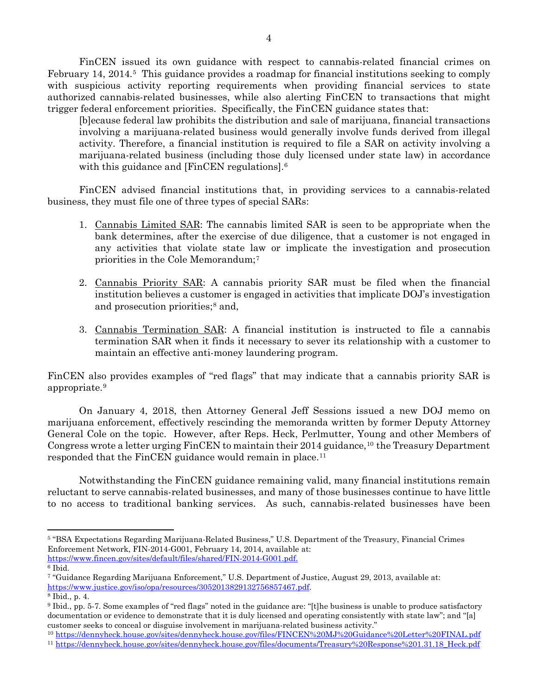FinCEN issued its own guidance with respect to cannabis-related financial crimes on February 14, 2014.<sup>[5](#page-3-0)</sup> This guidance provides a roadmap for financial institutions seeking to comply with suspicious activity reporting requirements when providing financial services to state authorized cannabis-related businesses, while also alerting FinCEN to transactions that might trigger federal enforcement priorities. Specifically, the FinCEN guidance states that:

[b]ecause federal law prohibits the distribution and sale of marijuana, financial transactions involving a marijuana-related business would generally involve funds derived from illegal activity. Therefore, a financial institution is required to file a SAR on activity involving a marijuana-related business (including those duly licensed under state law) in accordance with this guidance and [FinCEN regulations].<sup>6</sup>

FinCEN advised financial institutions that, in providing services to a cannabis-related business, they must file one of three types of special SARs:

- 1. Cannabis Limited SAR: The cannabis limited SAR is seen to be appropriate when the bank determines, after the exercise of due diligence, that a customer is not engaged in any activities that violate state law or implicate the investigation and prosecution priorities in the Cole Memorandum;[7](#page-3-2)
- 2. Cannabis Priority SAR: A cannabis priority SAR must be filed when the financial institution believes a customer is engaged in activities that implicate DOJ's investigation and prosecution priorities;[8](#page-3-3) and,
- 3. Cannabis Termination SAR: A financial institution is instructed to file a cannabis termination SAR when it finds it necessary to sever its relationship with a customer to maintain an effective anti-money laundering program.

FinCEN also provides examples of "red flags" that may indicate that a cannabis priority SAR is appropriate.[9](#page-3-4)

On January 4, 2018, then Attorney General Jeff Sessions issued a new DOJ memo on marijuana enforcement, effectively rescinding the memoranda written by former Deputy Attorney General Cole on the topic. However, after Reps. Heck, Perlmutter, Young and other Members of Congress wrote a letter urging FinCEN to maintain their 2014 guidance,<sup>[10](#page-3-5)</sup> the Treasury Department responded that the FinCEN guidance would remain in place.<sup>[11](#page-3-6)</sup>

Notwithstanding the FinCEN guidance remaining valid, many financial institutions remain reluctant to serve cannabis-related businesses, and many of those businesses continue to have little to no access to traditional banking services. As such, cannabis-related businesses have been

<span id="page-3-0"></span> <sup>5</sup> "BSA Expectations Regarding Marijuana-Related Business," U.S. Department of the Treasury, Financial Crimes Enforcement Network, FIN-2014-G001, February 14, 2014, available at: [https://www.fincen.gov/sites/default/files/shared/FIN-2014-G001.pdf.](https://www.fincen.gov/sites/default/files/shared/FIN-2014-G001.pdf)

<span id="page-3-1"></span> $6$  Ibid.

<span id="page-3-2"></span><sup>7</sup> "Guidance Regarding Marijuana Enforcement," U.S. Department of Justice, August 29, 2013, available at: https://www.justice.gov/iso/opa/resources/3052013829132756857467.pdf.<br><sup>8</sup> Ibid., p. 4.

<span id="page-3-3"></span>

<span id="page-3-4"></span><sup>9</sup> Ibid., pp. 5-7. Some examples of "red flags" noted in the guidance are: "[t]he business is unable to produce satisfactory documentation or evidence to demonstrate that it is duly licensed and operating consistently with state law"; and "[a] customer seeks to conceal or disguise involvement in marijuana-related business activity."

<span id="page-3-5"></span><sup>10</sup> <https://dennyheck.house.gov/sites/dennyheck.house.gov/files/FINCEN%20MJ%20Guidance%20Letter%20FINAL.pdf>

<span id="page-3-6"></span><sup>11</sup> [https://dennyheck.house.gov/sites/dennyheck.house.gov/files/documents/Treasury%20Response%201.31.18\\_Heck.pdf](https://dennyheck.house.gov/sites/dennyheck.house.gov/files/documents/Treasury%20Response%201.31.18_Heck.pdf)